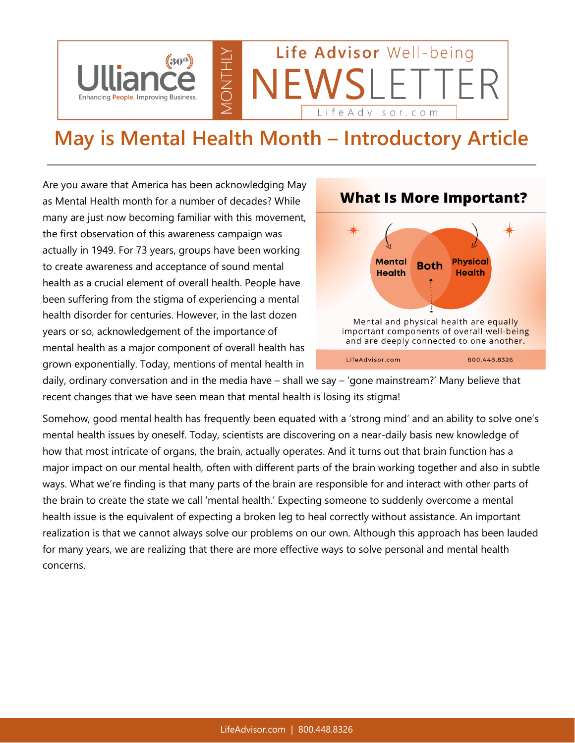

## **May is Mental Health Month – Introductory Article**

Are you aware that America has been acknowledging May as Mental Health month for a number of decades? While many are just now becoming familiar with this movement, the first observation of this awareness campaign was actually in 1949. For 73 years, groups have been working to create awareness and acceptance of sound mental health as a crucial element of overall health. People have been suffering from the stigma of experiencing a mental health disorder for centuries. However, in the last dozen years or so, acknowledgement of the importance of mental health as a major component of overall health has grown exponentially. Today, mentions of mental health in



**What Is More Important?** 

daily, ordinary conversation and in the media have – shall we say – 'gone mainstream?' Many believe that recent changes that we have seen mean that mental health is losing its stigma!

Somehow, good mental health has frequently been equated with a 'strong mind' and an ability to solve one's mental health issues by oneself. Today, scientists are discovering on a near-daily basis new knowledge of how that most intricate of organs, the brain, actually operates. And it turns out that brain function has a major impact on our mental health, often with different parts of the brain working together and also in subtle ways. What we're finding is that many parts of the brain are responsible for and interact with other parts of the brain to create the state we call 'mental health.' Expecting someone to suddenly overcome a mental health issue is the equivalent of expecting a broken leg to heal correctly without assistance. An important realization is that we cannot always solve our problems on our own. Although this approach has been lauded for many years, we are realizing that there are more effective ways to solve personal and mental health concerns.